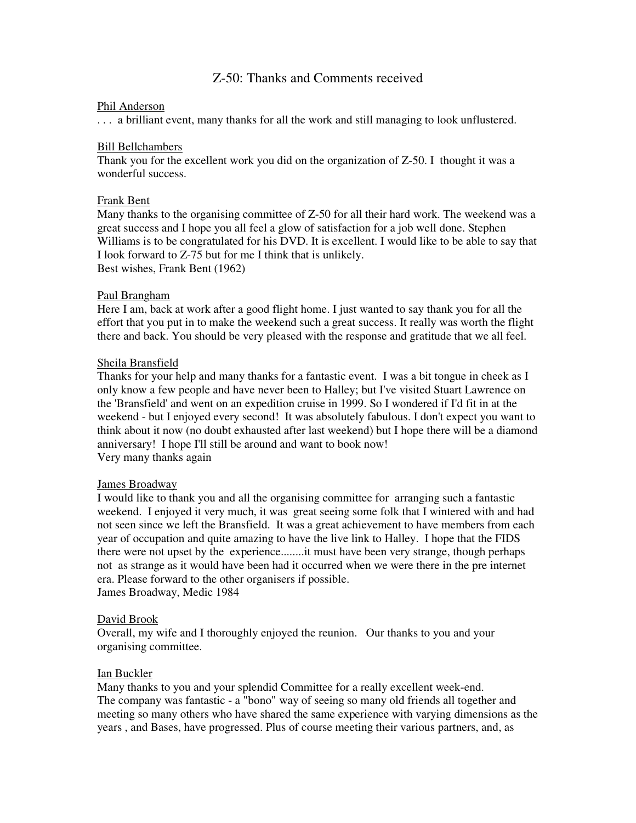# Z-50: Thanks and Comments received

### Phil Anderson

. . . a brilliant event, many thanks for all the work and still managing to look unflustered.

### Bill Bellchambers

Thank you for the excellent work you did on the organization of Z-50. I thought it was a wonderful success.

### Frank Bent

Many thanks to the organising committee of Z-50 for all their hard work. The weekend was a great success and I hope you all feel a glow of satisfaction for a job well done. Stephen Williams is to be congratulated for his DVD. It is excellent. I would like to be able to say that I look forward to Z-75 but for me I think that is unlikely. Best wishes, Frank Bent (1962)

### Paul Brangham

Here I am, back at work after a good flight home. I just wanted to say thank you for all the effort that you put in to make the weekend such a great success. It really was worth the flight there and back. You should be very pleased with the response and gratitude that we all feel.

### Sheila Bransfield

Thanks for your help and many thanks for a fantastic event. I was a bit tongue in cheek as I only know a few people and have never been to Halley; but I've visited Stuart Lawrence on the 'Bransfield' and went on an expedition cruise in 1999. So I wondered if I'd fit in at the weekend - but I enjoyed every second! It was absolutely fabulous. I don't expect you want to think about it now (no doubt exhausted after last weekend) but I hope there will be a diamond anniversary! I hope I'll still be around and want to book now! Very many thanks again

#### James Broadway

I would like to thank you and all the organising committee for arranging such a fantastic weekend. I enjoyed it very much, it was great seeing some folk that I wintered with and had not seen since we left the Bransfield. It was a great achievement to have members from each year of occupation and quite amazing to have the live link to Halley. I hope that the FIDS there were not upset by the experience........it must have been very strange, though perhaps not as strange as it would have been had it occurred when we were there in the pre internet era. Please forward to the other organisers if possible. James Broadway, Medic 1984

### David Brook

Overall, my wife and I thoroughly enjoyed the reunion. Our thanks to you and your organising committee.

## Ian Buckler

Many thanks to you and your splendid Committee for a really excellent week-end. The company was fantastic - a "bono" way of seeing so many old friends all together and meeting so many others who have shared the same experience with varying dimensions as the years , and Bases, have progressed. Plus of course meeting their various partners, and, as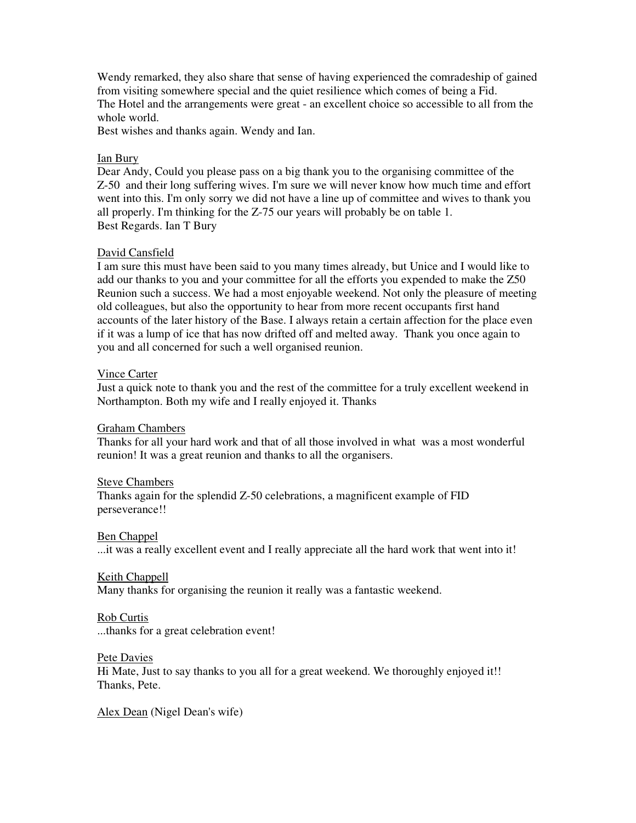Wendy remarked, they also share that sense of having experienced the comradeship of gained from visiting somewhere special and the quiet resilience which comes of being a Fid. The Hotel and the arrangements were great - an excellent choice so accessible to all from the whole world.

Best wishes and thanks again. Wendy and Ian.

### Ian Bury

Dear Andy, Could you please pass on a big thank you to the organising committee of the Z-50 and their long suffering wives. I'm sure we will never know how much time and effort went into this. I'm only sorry we did not have a line up of committee and wives to thank you all properly. I'm thinking for the Z-75 our years will probably be on table 1. Best Regards. Ian T Bury

## David Cansfield

I am sure this must have been said to you many times already, but Unice and I would like to add our thanks to you and your committee for all the efforts you expended to make the Z50 Reunion such a success. We had a most enjoyable weekend. Not only the pleasure of meeting old colleagues, but also the opportunity to hear from more recent occupants first hand accounts of the later history of the Base. I always retain a certain affection for the place even if it was a lump of ice that has now drifted off and melted away. Thank you once again to you and all concerned for such a well organised reunion.

#### Vince Carter

Just a quick note to thank you and the rest of the committee for a truly excellent weekend in Northampton. Both my wife and I really enjoyed it. Thanks

#### Graham Chambers

Thanks for all your hard work and that of all those involved in what was a most wonderful reunion! It was a great reunion and thanks to all the organisers.

#### Steve Chambers

Thanks again for the splendid Z-50 celebrations, a magnificent example of FID perseverance!!

#### Ben Chappel

...it was a really excellent event and I really appreciate all the hard work that went into it!

### Keith Chappell

Many thanks for organising the reunion it really was a fantastic weekend.

#### Rob Curtis

...thanks for a great celebration event!

#### Pete Davies

Hi Mate, Just to say thanks to you all for a great weekend. We thoroughly enjoyed it!! Thanks, Pete.

Alex Dean (Nigel Dean's wife)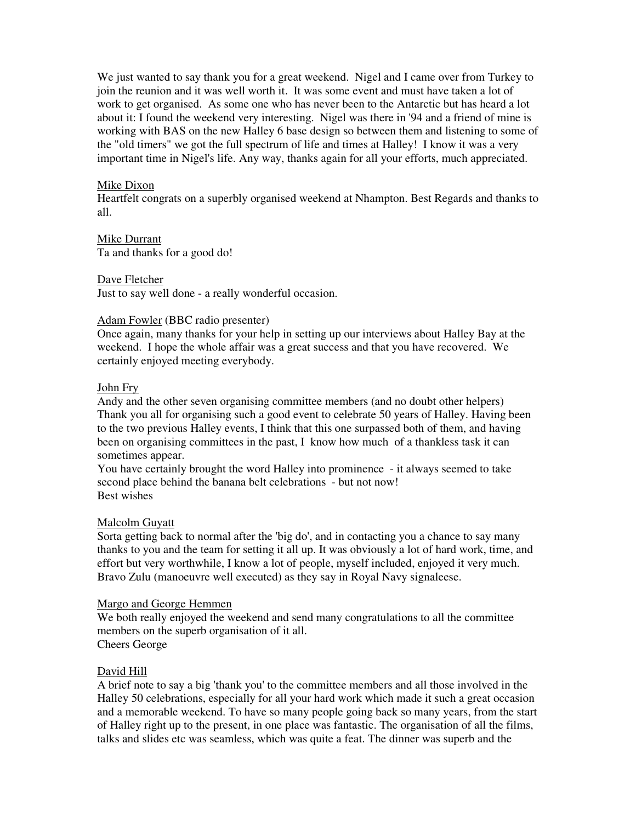We just wanted to say thank you for a great weekend. Nigel and I came over from Turkey to join the reunion and it was well worth it. It was some event and must have taken a lot of work to get organised. As some one who has never been to the Antarctic but has heard a lot about it: I found the weekend very interesting. Nigel was there in '94 and a friend of mine is working with BAS on the new Halley 6 base design so between them and listening to some of the "old timers" we got the full spectrum of life and times at Halley! I know it was a very important time in Nigel's life. Any way, thanks again for all your efforts, much appreciated.

### Mike Dixon

Heartfelt congrats on a superbly organised weekend at Nhampton. Best Regards and thanks to all.

### Mike Durrant

Ta and thanks for a good do!

### Dave Fletcher

Just to say well done - a really wonderful occasion.

### Adam Fowler (BBC radio presenter)

Once again, many thanks for your help in setting up our interviews about Halley Bay at the weekend. I hope the whole affair was a great success and that you have recovered. We certainly enjoyed meeting everybody.

### John Fry

Andy and the other seven organising committee members (and no doubt other helpers) Thank you all for organising such a good event to celebrate 50 years of Halley. Having been to the two previous Halley events, I think that this one surpassed both of them, and having been on organising committees in the past, I know how much of a thankless task it can sometimes appear.

You have certainly brought the word Halley into prominence - it always seemed to take second place behind the banana belt celebrations - but not now! Best wishes

## Malcolm Guyatt

Sorta getting back to normal after the 'big do', and in contacting you a chance to say many thanks to you and the team for setting it all up. It was obviously a lot of hard work, time, and effort but very worthwhile, I know a lot of people, myself included, enjoyed it very much. Bravo Zulu (manoeuvre well executed) as they say in Royal Navy signaleese.

#### Margo and George Hemmen

We both really enjoyed the weekend and send many congratulations to all the committee members on the superb organisation of it all.

Cheers George

## David Hill

A brief note to say a big 'thank you' to the committee members and all those involved in the Halley 50 celebrations, especially for all your hard work which made it such a great occasion and a memorable weekend. To have so many people going back so many years, from the start of Halley right up to the present, in one place was fantastic. The organisation of all the films, talks and slides etc was seamless, which was quite a feat. The dinner was superb and the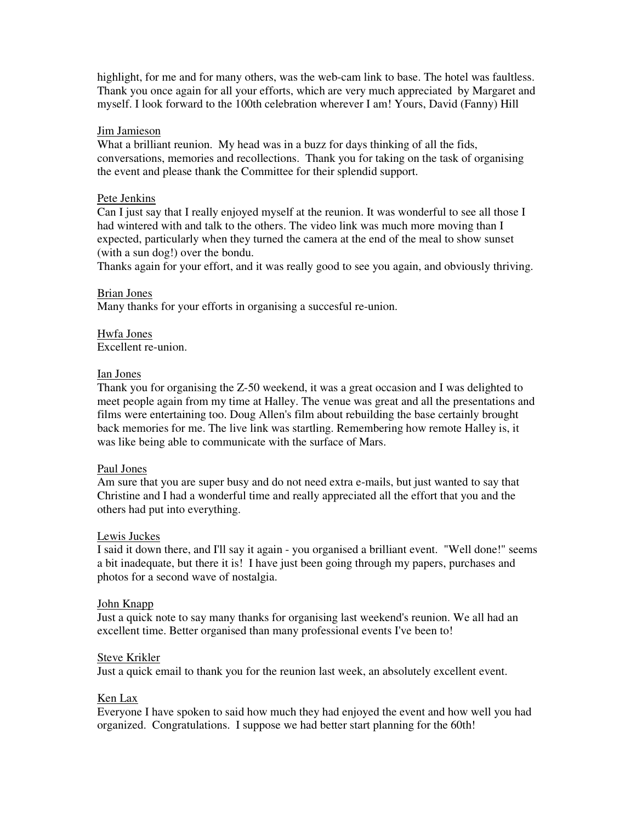highlight, for me and for many others, was the web-cam link to base. The hotel was faultless. Thank you once again for all your efforts, which are very much appreciated by Margaret and myself. I look forward to the 100th celebration wherever I am! Yours, David (Fanny) Hill

#### Jim Jamieson

What a brilliant reunion. My head was in a buzz for days thinking of all the fids, conversations, memories and recollections. Thank you for taking on the task of organising the event and please thank the Committee for their splendid support.

### Pete Jenkins

Can I just say that I really enjoyed myself at the reunion. It was wonderful to see all those I had wintered with and talk to the others. The video link was much more moving than I expected, particularly when they turned the camera at the end of the meal to show sunset (with a sun dog!) over the bondu.

Thanks again for your effort, and it was really good to see you again, and obviously thriving.

### Brian Jones

Many thanks for your efforts in organising a succesful re-union.

#### Hwfa Jones Excellent re-union.

## Ian Jones

Thank you for organising the Z-50 weekend, it was a great occasion and I was delighted to meet people again from my time at Halley. The venue was great and all the presentations and films were entertaining too. Doug Allen's film about rebuilding the base certainly brought back memories for me. The live link was startling. Remembering how remote Halley is, it was like being able to communicate with the surface of Mars.

#### Paul Jones

Am sure that you are super busy and do not need extra e-mails, but just wanted to say that Christine and I had a wonderful time and really appreciated all the effort that you and the others had put into everything.

#### Lewis Juckes

I said it down there, and I'll say it again - you organised a brilliant event. "Well done!" seems a bit inadequate, but there it is! I have just been going through my papers, purchases and photos for a second wave of nostalgia.

#### John Knapp

Just a quick note to say many thanks for organising last weekend's reunion. We all had an excellent time. Better organised than many professional events I've been to!

## Steve Krikler

Just a quick email to thank you for the reunion last week, an absolutely excellent event.

## Ken Lax

Everyone I have spoken to said how much they had enjoyed the event and how well you had organized. Congratulations. I suppose we had better start planning for the 60th!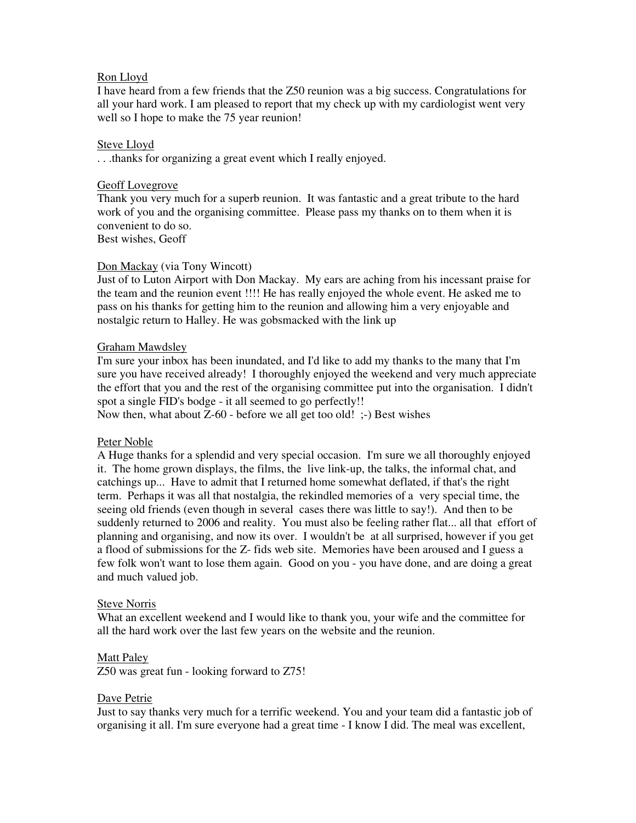## Ron Lloyd

I have heard from a few friends that the Z50 reunion was a big success. Congratulations for all your hard work. I am pleased to report that my check up with my cardiologist went very well so I hope to make the 75 year reunion!

## Steve Lloyd

. . .thanks for organizing a great event which I really enjoyed.

## Geoff Lovegrove

Thank you very much for a superb reunion. It was fantastic and a great tribute to the hard work of you and the organising committee. Please pass my thanks on to them when it is convenient to do so.

Best wishes, Geoff

## Don Mackay (via Tony Wincott)

Just of to Luton Airport with Don Mackay. My ears are aching from his incessant praise for the team and the reunion event !!!! He has really enjoyed the whole event. He asked me to pass on his thanks for getting him to the reunion and allowing him a very enjoyable and nostalgic return to Halley. He was gobsmacked with the link up

## Graham Mawdsley

I'm sure your inbox has been inundated, and I'd like to add my thanks to the many that I'm sure you have received already! I thoroughly enjoyed the weekend and very much appreciate the effort that you and the rest of the organising committee put into the organisation. I didn't spot a single FID's bodge - it all seemed to go perfectly!!

Now then, what about  $Z$ -60 - before we all get too old!  $\div$ ) Best wishes

## Peter Noble

A Huge thanks for a splendid and very special occasion. I'm sure we all thoroughly enjoyed it. The home grown displays, the films, the live link-up, the talks, the informal chat, and catchings up... Have to admit that I returned home somewhat deflated, if that's the right term. Perhaps it was all that nostalgia, the rekindled memories of a very special time, the seeing old friends (even though in several cases there was little to say!). And then to be suddenly returned to 2006 and reality. You must also be feeling rather flat... all that effort of planning and organising, and now its over. I wouldn't be at all surprised, however if you get a flood of submissions for the Z- fids web site. Memories have been aroused and I guess a few folk won't want to lose them again. Good on you - you have done, and are doing a great and much valued job.

## Steve Norris

What an excellent weekend and I would like to thank you, your wife and the committee for all the hard work over the last few years on the website and the reunion.

## Matt Paley

Z50 was great fun - looking forward to Z75!

## Dave Petrie

Just to say thanks very much for a terrific weekend. You and your team did a fantastic job of organising it all. I'm sure everyone had a great time - I know I did. The meal was excellent,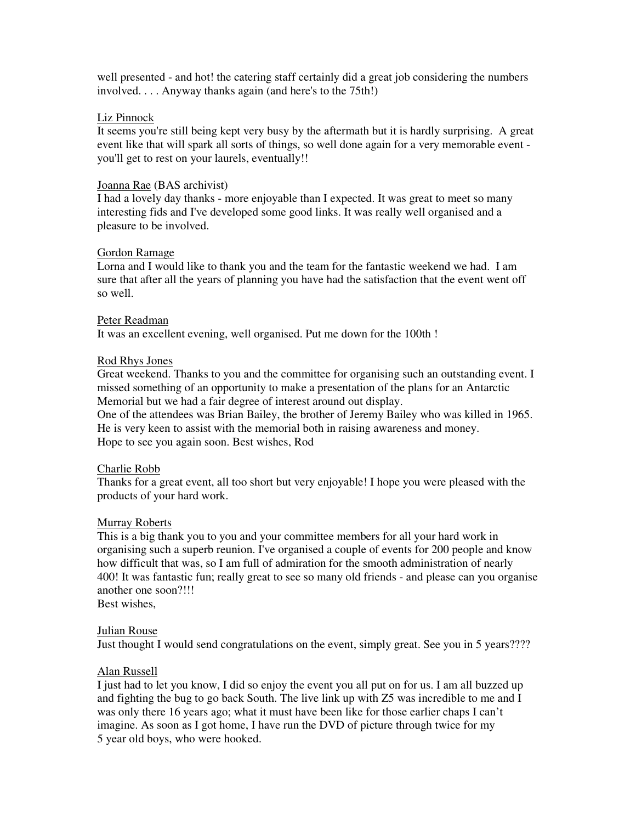well presented - and hot! the catering staff certainly did a great job considering the numbers involved. . . . Anyway thanks again (and here's to the 75th!)

### Liz Pinnock

It seems you're still being kept very busy by the aftermath but it is hardly surprising. A great event like that will spark all sorts of things, so well done again for a very memorable event you'll get to rest on your laurels, eventually!!

### Joanna Rae (BAS archivist)

I had a lovely day thanks - more enjoyable than I expected. It was great to meet so many interesting fids and I've developed some good links. It was really well organised and a pleasure to be involved.

### Gordon Ramage

Lorna and I would like to thank you and the team for the fantastic weekend we had. I am sure that after all the years of planning you have had the satisfaction that the event went off so well.

### Peter Readman

It was an excellent evening, well organised. Put me down for the 100th !

## Rod Rhys Jones

Great weekend. Thanks to you and the committee for organising such an outstanding event. I missed something of an opportunity to make a presentation of the plans for an Antarctic Memorial but we had a fair degree of interest around out display.

One of the attendees was Brian Bailey, the brother of Jeremy Bailey who was killed in 1965. He is very keen to assist with the memorial both in raising awareness and money. Hope to see you again soon. Best wishes, Rod

#### Charlie Robb

Thanks for a great event, all too short but very enjoyable! I hope you were pleased with the products of your hard work.

#### Murray Roberts

This is a big thank you to you and your committee members for all your hard work in organising such a superb reunion. I've organised a couple of events for 200 people and know how difficult that was, so I am full of admiration for the smooth administration of nearly 400! It was fantastic fun; really great to see so many old friends - and please can you organise another one soon?!!!

Best wishes,

#### Julian Rouse

Just thought I would send congratulations on the event, simply great. See you in 5 years????

## Alan Russell

I just had to let you know, I did so enjoy the event you all put on for us. I am all buzzed up and fighting the bug to go back South. The live link up with Z5 was incredible to me and I was only there 16 years ago; what it must have been like for those earlier chaps I can't imagine. As soon as I got home, I have run the DVD of picture through twice for my 5 year old boys, who were hooked.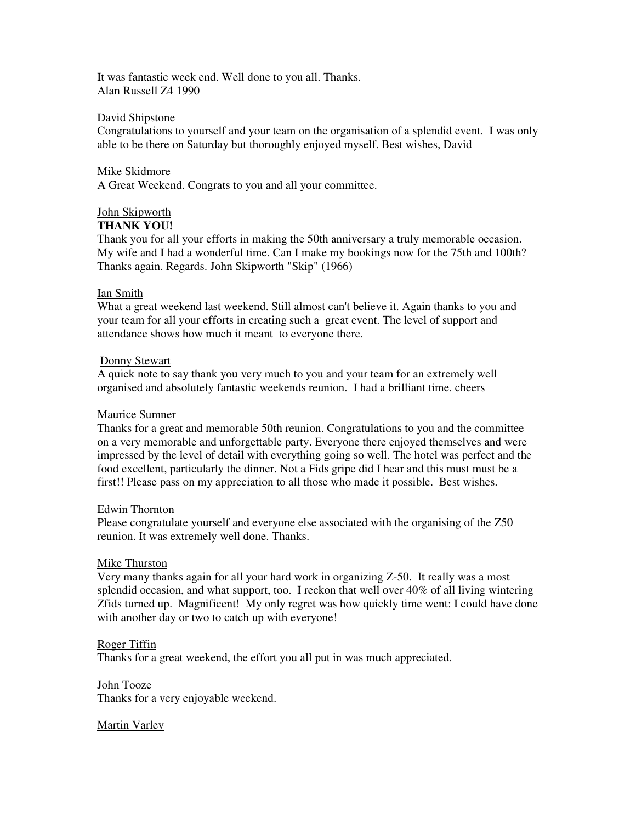It was fantastic week end. Well done to you all. Thanks. Alan Russell Z4 1990

### David Shipstone

Congratulations to yourself and your team on the organisation of a splendid event. I was only able to be there on Saturday but thoroughly enjoyed myself. Best wishes, David

#### Mike Skidmore

A Great Weekend. Congrats to you and all your committee.

# John Skipworth

### **THANK YOU!**

Thank you for all your efforts in making the 50th anniversary a truly memorable occasion. My wife and I had a wonderful time. Can I make my bookings now for the 75th and 100th? Thanks again. Regards. John Skipworth "Skip" (1966)

### Ian Smith

What a great weekend last weekend. Still almost can't believe it. Again thanks to you and your team for all your efforts in creating such a great event. The level of support and attendance shows how much it meant to everyone there.

### Donny Stewart

A quick note to say thank you very much to you and your team for an extremely well organised and absolutely fantastic weekends reunion. I had a brilliant time. cheers

### Maurice Sumner

Thanks for a great and memorable 50th reunion. Congratulations to you and the committee on a very memorable and unforgettable party. Everyone there enjoyed themselves and were impressed by the level of detail with everything going so well. The hotel was perfect and the food excellent, particularly the dinner. Not a Fids gripe did I hear and this must must be a first!! Please pass on my appreciation to all those who made it possible. Best wishes.

#### Edwin Thornton

Please congratulate yourself and everyone else associated with the organising of the Z50 reunion. It was extremely well done. Thanks.

#### Mike Thurston

Very many thanks again for all your hard work in organizing Z-50. It really was a most splendid occasion, and what support, too. I reckon that well over 40% of all living wintering Zfids turned up. Magnificent! My only regret was how quickly time went: I could have done with another day or two to catch up with everyone!

#### Roger Tiffin

Thanks for a great weekend, the effort you all put in was much appreciated.

John Tooze Thanks for a very enjoyable weekend.

## Martin Varley